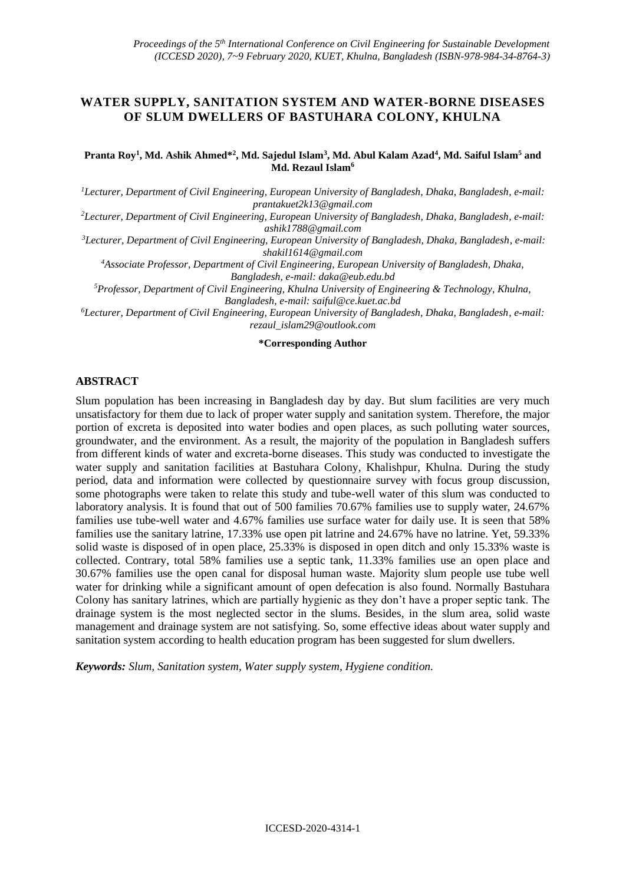# **WATER SUPPLY, SANITATION SYSTEM AND WATER-BORNE DISEASES OF SLUM DWELLERS OF BASTUHARA COLONY, KHULNA**

#### **Pranta Roy<sup>1</sup> , Md. Ashik Ahmed\*<sup>2</sup> , Md. Sajedul Islam<sup>3</sup> , Md. Abul Kalam Azad<sup>4</sup> , Md. Saiful Islam<sup>5</sup> and Md. Rezaul Islam<sup>6</sup>**

*<sup>1</sup>Lecturer, Department of Civil Engineering, European University of Bangladesh, Dhaka, Bangladesh, e-mail: [prantakuet2k13@gmail.com](mailto:prantakuet2k13@gmail.com)*

*<sup>2</sup>Lecturer, Department of Civil Engineering, European University of Bangladesh, Dhaka, Bangladesh, e-mail: [ashik1788@gmail.com](mailto:ashik1788@gmail.com)*

*<sup>3</sup>Lecturer, Department of Civil Engineering, European University of Bangladesh, Dhaka, Bangladesh, e-mail: [shakil1614@gmail.com](mailto:shakil1614@gmail.com)*

*<sup>4</sup>Associate Professor, Department of Civil Engineering, European University of Bangladesh, Dhaka, Bangladesh, e-mail: [daka@eub.edu.bd](mailto:daka@eub.edu.bd)*

*<sup>5</sup>Professor, Department of Civil Engineering, Khulna University of Engineering & Technology, Khulna, Bangladesh, e-mail[: saiful@ce.kuet.ac.bd](mailto:saiful@ce.kuet.ac.bd)*

*<sup>6</sup>Lecturer, Department of Civil Engineering, European University of Bangladesh, Dhaka, Bangladesh, e-mail: [rezaul\\_islam29@outlook.com](mailto:rezaul_islam29@outlook.com)*

#### **\*Corresponding Author**

#### **ABSTRACT**

Slum population has been increasing in Bangladesh day by day. But slum facilities are very much unsatisfactory for them due to lack of proper water supply and sanitation system. Therefore, the major portion of excreta is deposited into water bodies and open places, as such polluting water sources, groundwater, and the environment. As a result, the majority of the population in Bangladesh suffers from different kinds of water and excreta-borne diseases. This study was conducted to investigate the water supply and sanitation facilities at Bastuhara Colony, Khalishpur, Khulna. During the study period, data and information were collected by questionnaire survey with focus group discussion, some photographs were taken to relate this study and tube-well water of this slum was conducted to laboratory analysis. It is found that out of 500 families 70.67% families use to supply water, 24.67% families use tube-well water and 4.67% families use surface water for daily use. It is seen that 58% families use the sanitary latrine, 17.33% use open pit latrine and 24.67% have no latrine. Yet, 59.33% solid waste is disposed of in open place, 25.33% is disposed in open ditch and only 15.33% waste is collected. Contrary, total 58% families use a septic tank, 11.33% families use an open place and 30.67% families use the open canal for disposal human waste. Majority slum people use tube well water for drinking while a significant amount of open defecation is also found. Normally Bastuhara Colony has sanitary latrines, which are partially hygienic as they don't have a proper septic tank. The drainage system is the most neglected sector in the slums. Besides, in the slum area, solid waste management and drainage system are not satisfying. So, some effective ideas about water supply and sanitation system according to health education program has been suggested for slum dwellers.

*Keywords: Slum, Sanitation system, Water supply system, Hygiene condition.*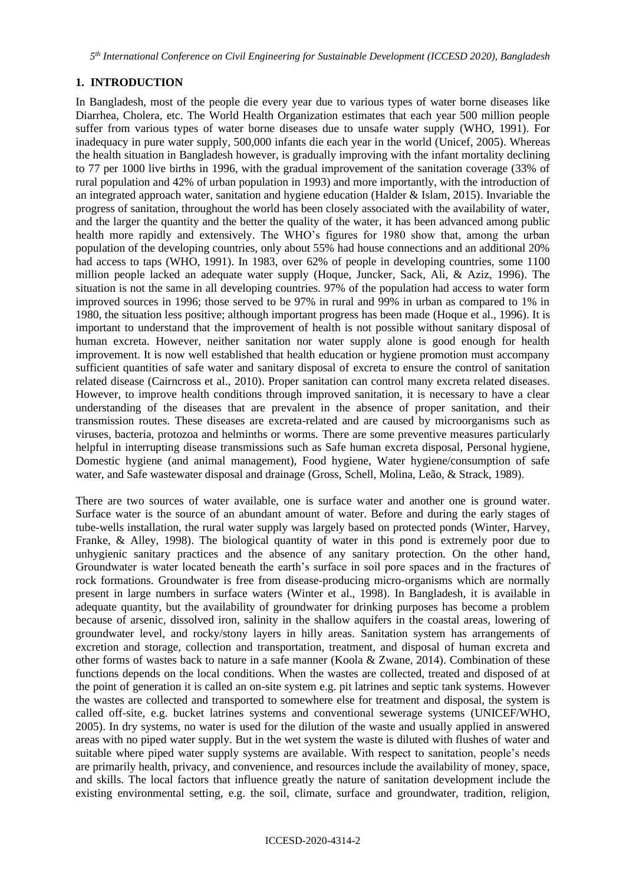*5 th International Conference on Civil Engineering for Sustainable Development (ICCESD 2020), Bangladesh*

### **1. INTRODUCTION**

In Bangladesh, most of the people die every year due to various types of water borne diseases like Diarrhea, Cholera, etc. The World Health Organization estimates that each year 500 million people suffer from various types of water borne diseases due to unsafe water supply (WHO, 1991). For inadequacy in pure water supply, 500,000 infants die each year in the world (Unicef, 2005). Whereas the health situation in Bangladesh however, is gradually improving with the infant mortality declining to 77 per 1000 live births in 1996, with the gradual improvement of the sanitation coverage (33% of rural population and 42% of urban population in 1993) and more importantly, with the introduction of an integrated approach water, sanitation and hygiene education (Halder & Islam, 2015). Invariable the progress of sanitation, throughout the world has been closely associated with the availability of water, and the larger the quantity and the better the quality of the water, it has been advanced among public health more rapidly and extensively. The WHO's figures for 1980 show that, among the urban population of the developing countries, only about 55% had house connections and an additional 20% had access to taps (WHO, 1991). In 1983, over 62% of people in developing countries, some 1100 million people lacked an adequate water supply (Hoque, Juncker, Sack, Ali, & Aziz, 1996). The situation is not the same in all developing countries. 97% of the population had access to water form improved sources in 1996; those served to be 97% in rural and 99% in urban as compared to 1% in 1980, the situation less positive; although important progress has been made (Hoque et al., 1996). It is important to understand that the improvement of health is not possible without sanitary disposal of human excreta. However, neither sanitation nor water supply alone is good enough for health improvement. It is now well established that health education or hygiene promotion must accompany sufficient quantities of safe water and sanitary disposal of excreta to ensure the control of sanitation related disease (Cairncross et al., 2010). Proper sanitation can control many excreta related diseases. However, to improve health conditions through improved sanitation, it is necessary to have a clear understanding of the diseases that are prevalent in the absence of proper sanitation, and their transmission routes. These diseases are excreta-related and are caused by microorganisms such as viruses, bacteria, protozoa and helminths or worms. There are some preventive measures particularly helpful in interrupting disease transmissions such as Safe human excreta disposal, Personal hygiene, Domestic hygiene (and animal management), Food hygiene, Water hygiene/consumption of safe water, and Safe wastewater disposal and drainage (Gross, Schell, Molina, Leão, & Strack, 1989).

There are two sources of water available, one is surface water and another one is ground water. Surface water is the source of an abundant amount of water. Before and during the early stages of tube-wells installation, the rural water supply was largely based on protected ponds (Winter, Harvey, Franke, & Alley, 1998). The biological quantity of water in this pond is extremely poor due to unhygienic sanitary practices and the absence of any sanitary protection. On the other hand, Groundwater is water located beneath the earth's surface in soil pore spaces and in the fractures of rock formations. Groundwater is free from disease-producing micro-organisms which are normally present in large numbers in surface waters (Winter et al., 1998). In Bangladesh, it is available in adequate quantity, but the availability of groundwater for drinking purposes has become a problem because of arsenic, dissolved iron, salinity in the shallow aquifers in the coastal areas, lowering of groundwater level, and rocky/stony layers in hilly areas. Sanitation system has arrangements of excretion and storage, collection and transportation, treatment, and disposal of human excreta and other forms of wastes back to nature in a safe manner (Koola & Zwane, 2014). Combination of these functions depends on the local conditions. When the wastes are collected, treated and disposed of at the point of generation it is called an on-site system e.g. pit latrines and septic tank systems. However the wastes are collected and transported to somewhere else for treatment and disposal, the system is called off-site, e.g. bucket latrines systems and conventional sewerage systems (UNICEF/WHO, 2005). In dry systems, no water is used for the dilution of the waste and usually applied in answered areas with no piped water supply. But in the wet system the waste is diluted with flushes of water and suitable where piped water supply systems are available. With respect to sanitation, people's needs are primarily health, privacy, and convenience, and resources include the availability of money, space, and skills. The local factors that influence greatly the nature of sanitation development include the existing environmental setting, e.g. the soil, climate, surface and groundwater, tradition, religion,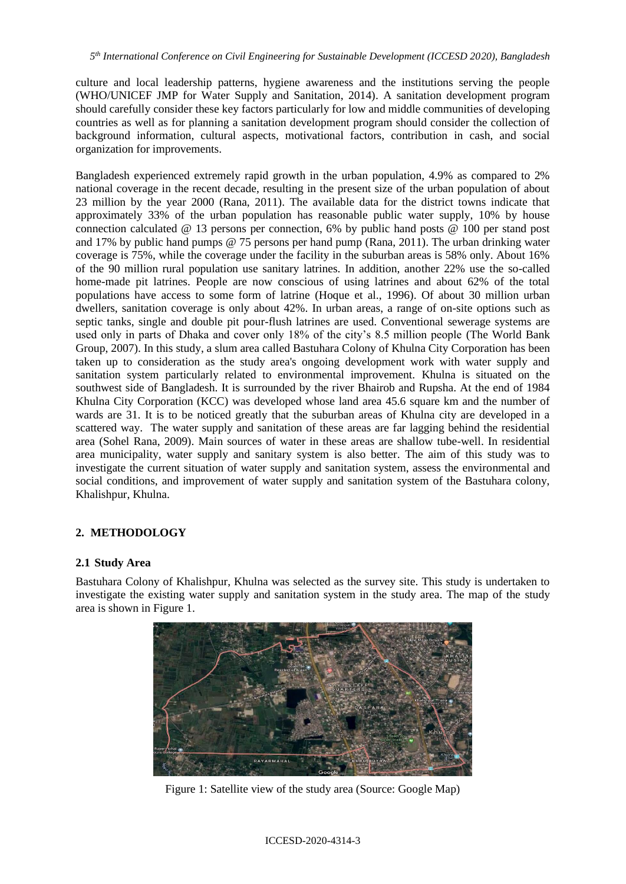culture and local leadership patterns, hygiene awareness and the institutions serving the people (WHO/UNICEF JMP for Water Supply and Sanitation, 2014). A sanitation development program should carefully consider these key factors particularly for low and middle communities of developing countries as well as for planning a sanitation development program should consider the collection of background information, cultural aspects, motivational factors, contribution in cash, and social organization for improvements.

Bangladesh experienced extremely rapid growth in the urban population, 4.9% as compared to 2% national coverage in the recent decade, resulting in the present size of the urban population of about 23 million by the year 2000 (Rana, 2011). The available data for the district towns indicate that approximately 33% of the urban population has reasonable public water supply, 10% by house connection calculated @ 13 persons per connection, 6% by public hand posts @ 100 per stand post and 17% by public hand pumps @ 75 persons per hand pump (Rana, 2011). The urban drinking water coverage is 75%, while the coverage under the facility in the suburban areas is 58% only. About 16% of the 90 million rural population use sanitary latrines. In addition, another 22% use the so-called home-made pit latrines. People are now conscious of using latrines and about 62% of the total populations have access to some form of latrine (Hoque et al., 1996). Of about 30 million urban dwellers, sanitation coverage is only about 42%. In urban areas, a range of on-site options such as septic tanks, single and double pit pour-flush latrines are used. Conventional sewerage systems are used only in parts of Dhaka and cover only 18% of the city's 8.5 million people (The World Bank Group, 2007). In this study, a slum area called Bastuhara Colony of Khulna City Corporation has been taken up to consideration as the study area's ongoing development work with water supply and sanitation system particularly related to environmental improvement. Khulna is situated on the southwest side of Bangladesh. It is surrounded by the river Bhairob and Rupsha. At the end of 1984 Khulna City Corporation (KCC) was developed whose land area 45.6 square km and the number of wards are 31. It is to be noticed greatly that the suburban areas of Khulna city are developed in a scattered way. The water supply and sanitation of these areas are far lagging behind the residential area (Sohel Rana, 2009). Main sources of water in these areas are shallow tube-well. In residential area municipality, water supply and sanitary system is also better. The aim of this study was to investigate the current situation of water supply and sanitation system, assess the environmental and social conditions, and improvement of water supply and sanitation system of the Bastuhara colony, Khalishpur, Khulna.

# **2. METHODOLOGY**

### **2.1 Study Area**

Bastuhara Colony of Khalishpur, Khulna was selected as the survey site. This study is undertaken to investigate the existing water supply and sanitation system in the study area. The map of the study area is shown in Figure 1.



Figure 1: Satellite view of the study area (Source: Google Map)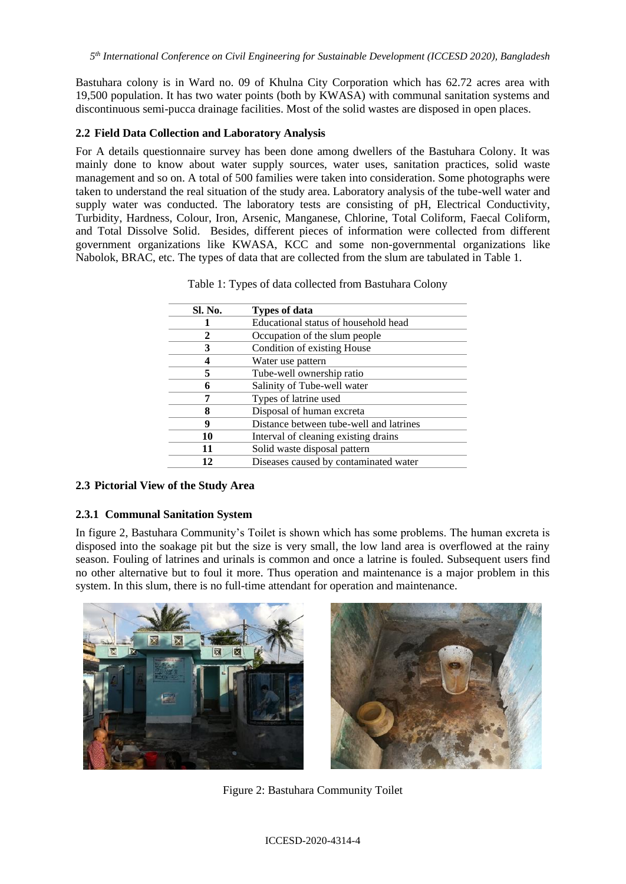Bastuhara colony is in Ward no. 09 of Khulna City Corporation which has 62.72 acres area with 19,500 population. It has two water points (both by KWASA) with communal sanitation systems and discontinuous semi-pucca drainage facilities. Most of the solid wastes are disposed in open places.

### **2.2 Field Data Collection and Laboratory Analysis**

For A details questionnaire survey has been done among dwellers of the Bastuhara Colony. It was mainly done to know about water supply sources, water uses, sanitation practices, solid waste management and so on. A total of 500 families were taken into consideration. Some photographs were taken to understand the real situation of the study area. Laboratory analysis of the tube-well water and supply water was conducted. The laboratory tests are consisting of pH, Electrical Conductivity, Turbidity, Hardness, Colour, Iron, Arsenic, Manganese, Chlorine, Total Coliform, Faecal Coliform, and Total Dissolve Solid. Besides, different pieces of information were collected from different government organizations like KWASA, KCC and some non-governmental organizations like Nabolok, BRAC, etc. The types of data that are collected from the slum are tabulated in Table 1.

| Sl. No. | <b>Types of data</b>                    |
|---------|-----------------------------------------|
|         | Educational status of household head    |
| 2       | Occupation of the slum people           |
| 3       | Condition of existing House             |
|         | Water use pattern                       |
| 5       | Tube-well ownership ratio               |
| 6       | Salinity of Tube-well water             |
|         | Types of latrine used                   |
| 8       | Disposal of human excreta               |
| 9       | Distance between tube-well and latrines |
| 10      | Interval of cleaning existing drains    |
| 11      | Solid waste disposal pattern            |
| 12      | Diseases caused by contaminated water   |

|  |  | Table 1: Types of data collected from Bastuhara Colony |  |
|--|--|--------------------------------------------------------|--|
|  |  |                                                        |  |

### **2.3 Pictorial View of the Study Area**

### **2.3.1 Communal Sanitation System**

In figure 2, Bastuhara Community's Toilet is shown which has some problems. The human excreta is disposed into the soakage pit but the size is very small, the low land area is overflowed at the rainy season. Fouling of latrines and urinals is common and once a latrine is fouled. Subsequent users find no other alternative but to foul it more. Thus operation and maintenance is a major problem in this system. In this slum, there is no full-time attendant for operation and maintenance.



Figure 2: Bastuhara Community Toilet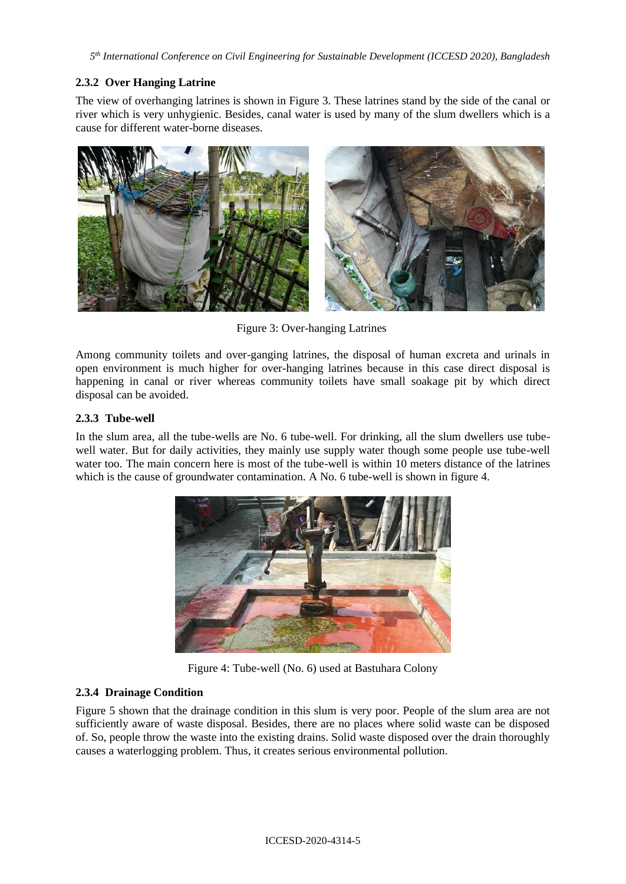*5 th International Conference on Civil Engineering for Sustainable Development (ICCESD 2020), Bangladesh*

# **2.3.2 Over Hanging Latrine**

The view of overhanging latrines is shown in Figure 3. These latrines stand by the side of the canal or river which is very unhygienic. Besides, canal water is used by many of the slum dwellers which is a cause for different water-borne diseases.



Figure 3: Over-hanging Latrines

Among community toilets and over-ganging latrines, the disposal of human excreta and urinals in open environment is much higher for over-hanging latrines because in this case direct disposal is happening in canal or river whereas community toilets have small soakage pit by which direct disposal can be avoided.

### **2.3.3 Tube-well**

In the slum area, all the tube-wells are No. 6 tube-well. For drinking, all the slum dwellers use tubewell water. But for daily activities, they mainly use supply water though some people use tube-well water too. The main concern here is most of the tube-well is within 10 meters distance of the latrines which is the cause of groundwater contamination. A No. 6 tube-well is shown in figure 4.



Figure 4: Tube-well (No. 6) used at Bastuhara Colony

# **2.3.4 Drainage Condition**

Figure 5 shown that the drainage condition in this slum is very poor. People of the slum area are not sufficiently aware of waste disposal. Besides, there are no places where solid waste can be disposed of. So, people throw the waste into the existing drains. Solid waste disposed over the drain thoroughly causes a waterlogging problem. Thus, it creates serious environmental pollution.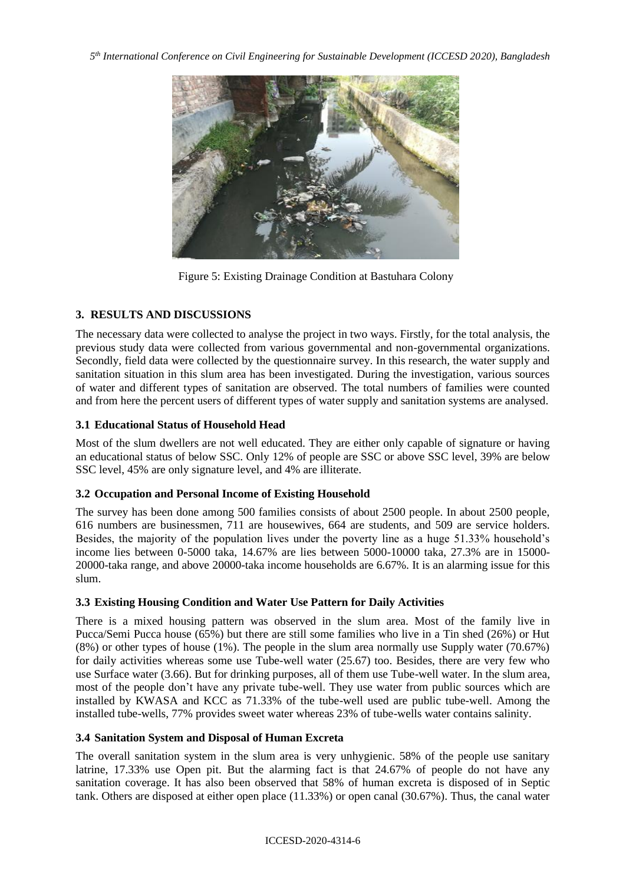*5 th International Conference on Civil Engineering for Sustainable Development (ICCESD 2020), Bangladesh*



Figure 5: Existing Drainage Condition at Bastuhara Colony

# **3. RESULTS AND DISCUSSIONS**

The necessary data were collected to analyse the project in two ways. Firstly, for the total analysis, the previous study data were collected from various governmental and non-governmental organizations. Secondly, field data were collected by the questionnaire survey. In this research, the water supply and sanitation situation in this slum area has been investigated. During the investigation, various sources of water and different types of sanitation are observed. The total numbers of families were counted and from here the percent users of different types of water supply and sanitation systems are analysed.

# **3.1 Educational Status of Household Head**

Most of the slum dwellers are not well educated. They are either only capable of signature or having an educational status of below SSC. Only 12% of people are SSC or above SSC level, 39% are below SSC level, 45% are only signature level, and 4% are illiterate.

# **3.2 Occupation and Personal Income of Existing Household**

The survey has been done among 500 families consists of about 2500 people. In about 2500 people, 616 numbers are businessmen, 711 are housewives, 664 are students, and 509 are service holders. Besides, the majority of the population lives under the poverty line as a huge 51.33% household's income lies between 0-5000 taka, 14.67% are lies between 5000-10000 taka, 27.3% are in 15000- 20000-taka range, and above 20000-taka income households are 6.67%. It is an alarming issue for this slum.

# **3.3 Existing Housing Condition and Water Use Pattern for Daily Activities**

There is a mixed housing pattern was observed in the slum area. Most of the family live in Pucca/Semi Pucca house (65%) but there are still some families who live in a Tin shed (26%) or Hut (8%) or other types of house (1%). The people in the slum area normally use Supply water (70.67%) for daily activities whereas some use Tube-well water (25.67) too. Besides, there are very few who use Surface water (3.66). But for drinking purposes, all of them use Tube-well water. In the slum area, most of the people don't have any private tube-well. They use water from public sources which are installed by KWASA and KCC as 71.33% of the tube-well used are public tube-well. Among the installed tube-wells, 77% provides sweet water whereas 23% of tube-wells water contains salinity.

# **3.4 Sanitation System and Disposal of Human Excreta**

The overall sanitation system in the slum area is very unhygienic. 58% of the people use sanitary latrine, 17.33% use Open pit. But the alarming fact is that 24.67% of people do not have any sanitation coverage. It has also been observed that 58% of human excreta is disposed of in Septic tank. Others are disposed at either open place (11.33%) or open canal (30.67%). Thus, the canal water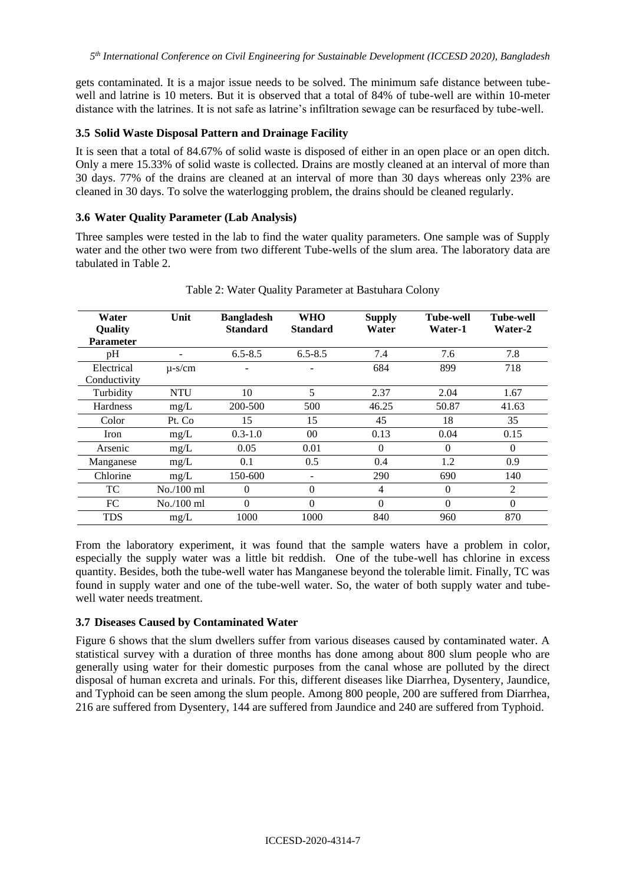gets contaminated. It is a major issue needs to be solved. The minimum safe distance between tubewell and latrine is 10 meters. But it is observed that a total of 84% of tube-well are within 10-meter distance with the latrines. It is not safe as latrine's infiltration sewage can be resurfaced by tube-well.

### **3.5 Solid Waste Disposal Pattern and Drainage Facility**

It is seen that a total of 84.67% of solid waste is disposed of either in an open place or an open ditch. Only a mere 15.33% of solid waste is collected. Drains are mostly cleaned at an interval of more than 30 days. 77% of the drains are cleaned at an interval of more than 30 days whereas only 23% are cleaned in 30 days. To solve the waterlogging problem, the drains should be cleaned regularly.

### **3.6 Water Quality Parameter (Lab Analysis)**

Three samples were tested in the lab to find the water quality parameters. One sample was of Supply water and the other two were from two different Tube-wells of the slum area. The laboratory data are tabulated in Table 2.

| Water<br><b>Quality</b>    | Unit                     | <b>Bangladesh</b><br><b>Standard</b> | <b>WHO</b><br><b>Standard</b> | <b>Supply</b><br>Water | <b>Tube-well</b><br>Water-1 | Tube-well<br>Water-2 |
|----------------------------|--------------------------|--------------------------------------|-------------------------------|------------------------|-----------------------------|----------------------|
| <b>Parameter</b>           |                          |                                      |                               |                        |                             |                      |
| pH                         | $\overline{\phantom{a}}$ | $6.5 - 8.5$                          | $6.5 - 8.5$                   | 7.4                    | 7.6                         | 7.8                  |
| Electrical<br>Conductivity | $\mu$ -s/cm              |                                      |                               | 684                    | 899                         | 718                  |
| Turbidity                  | <b>NTU</b>               | 10                                   | 5                             | 2.37                   | 2.04                        | 1.67                 |
| Hardness                   | mg/L                     | 200-500                              | 500                           | 46.25                  | 50.87                       | 41.63                |
| Color                      | Pt. Co                   | 15                                   | 15                            | 45                     | 18                          | 35                   |
| Iron                       | mg/L                     | $0.3 - 1.0$                          | $00\,$                        | 0.13                   | 0.04                        | 0.15                 |
| Arsenic                    | mg/L                     | 0.05                                 | 0.01                          | $\theta$               | $\Omega$                    | $\Omega$             |
| Manganese                  | mg/L                     | 0.1                                  | 0.5                           | 0.4                    | 1.2                         | 0.9                  |
| Chlorine                   | mg/L                     | 150-600                              | $\overline{\phantom{0}}$      | 290                    | 690                         | 140                  |
| TC                         | No./100 ml               | $\theta$                             | $\Omega$                      | 4                      | $\Omega$                    | $\overline{2}$       |
| FC                         | No./100 ml               | $\Omega$                             | $\Omega$                      | $\theta$               | $\Omega$                    | $\theta$             |
| TDS                        | mg/L                     | 1000                                 | 1000                          | 840                    | 960                         | 870                  |

Table 2: Water Quality Parameter at Bastuhara Colony

From the laboratory experiment, it was found that the sample waters have a problem in color, especially the supply water was a little bit reddish. One of the tube-well has chlorine in excess quantity. Besides, both the tube-well water has Manganese beyond the tolerable limit. Finally, TC was found in supply water and one of the tube-well water. So, the water of both supply water and tubewell water needs treatment.

### **3.7 Diseases Caused by Contaminated Water**

Figure 6 shows that the slum dwellers suffer from various diseases caused by contaminated water. A statistical survey with a duration of three months has done among about 800 slum people who are generally using water for their domestic purposes from the canal whose are polluted by the direct disposal of human excreta and urinals. For this, different diseases like Diarrhea, Dysentery, Jaundice, and Typhoid can be seen among the slum people. Among 800 people, 200 are suffered from Diarrhea, 216 are suffered from Dysentery, 144 are suffered from Jaundice and 240 are suffered from Typhoid.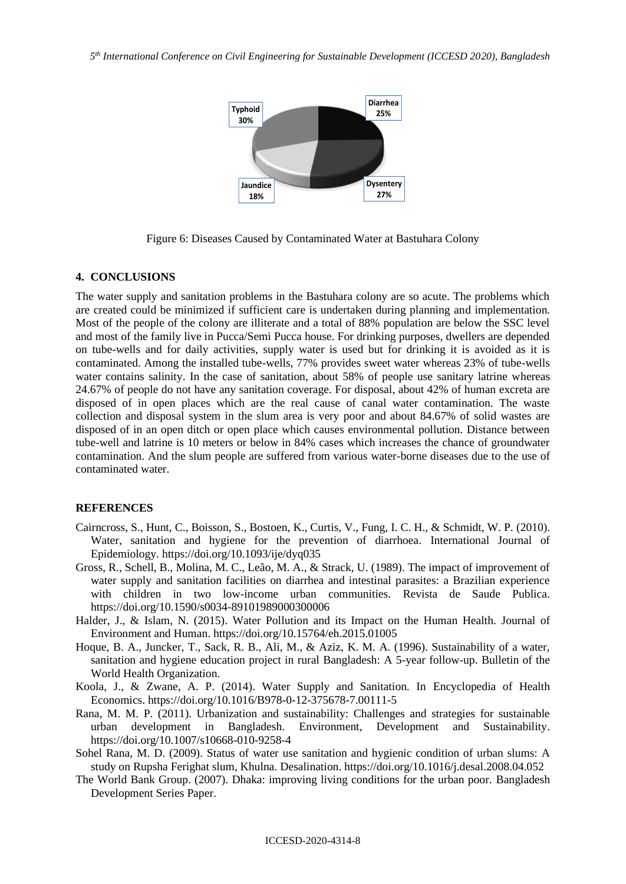

Figure 6: Diseases Caused by Contaminated Water at Bastuhara Colony

### **4. CONCLUSIONS**

The water supply and sanitation problems in the Bastuhara colony are so acute. The problems which are created could be minimized if sufficient care is undertaken during planning and implementation. Most of the people of the colony are illiterate and a total of 88% population are below the SSC level and most of the family live in Pucca/Semi Pucca house. For drinking purposes, dwellers are depended on tube-wells and for daily activities, supply water is used but for drinking it is avoided as it is contaminated. Among the installed tube-wells, 77% provides sweet water whereas 23% of tube-wells water contains salinity. In the case of sanitation, about 58% of people use sanitary latrine whereas 24.67% of people do not have any sanitation coverage. For disposal, about 42% of human excreta are disposed of in open places which are the real cause of canal water contamination. The waste collection and disposal system in the slum area is very poor and about 84.67% of solid wastes are disposed of in an open ditch or open place which causes environmental pollution. Distance between tube-well and latrine is 10 meters or below in 84% cases which increases the chance of groundwater contamination. And the slum people are suffered from various water-borne diseases due to the use of contaminated water.

#### **REFERENCES**

- Cairncross, S., Hunt, C., Boisson, S., Bostoen, K., Curtis, V., Fung, I. C. H., & Schmidt, W. P. (2010). Water, sanitation and hygiene for the prevention of diarrhoea. International Journal of Epidemiology. https://doi.org/10.1093/ije/dyq035
- Gross, R., Schell, B., Molina, M. C., Leão, M. A., & Strack, U. (1989). The impact of improvement of water supply and sanitation facilities on diarrhea and intestinal parasites: a Brazilian experience with children in two low-income urban communities. Revista de Saude Publica. https://doi.org/10.1590/s0034-89101989000300006
- Halder, J., & Islam, N. (2015). Water Pollution and its Impact on the Human Health. Journal of Environment and Human. https://doi.org/10.15764/eh.2015.01005
- Hoque, B. A., Juncker, T., Sack, R. B., Ali, M., & Aziz, K. M. A. (1996). Sustainability of a water, sanitation and hygiene education project in rural Bangladesh: A 5-year follow-up. Bulletin of the World Health Organization.
- Koola, J., & Zwane, A. P. (2014). Water Supply and Sanitation. In Encyclopedia of Health Economics. https://doi.org/10.1016/B978-0-12-375678-7.00111-5
- Rana, M. M. P. (2011). Urbanization and sustainability: Challenges and strategies for sustainable urban development in Bangladesh. Environment, Development and Sustainability. https://doi.org/10.1007/s10668-010-9258-4
- Sohel Rana, M. D. (2009). Status of water use sanitation and hygienic condition of urban slums: A study on Rupsha Ferighat slum, Khulna. Desalination. https://doi.org/10.1016/j.desal.2008.04.052
- The World Bank Group. (2007). Dhaka: improving living conditions for the urban poor. Bangladesh Development Series Paper.